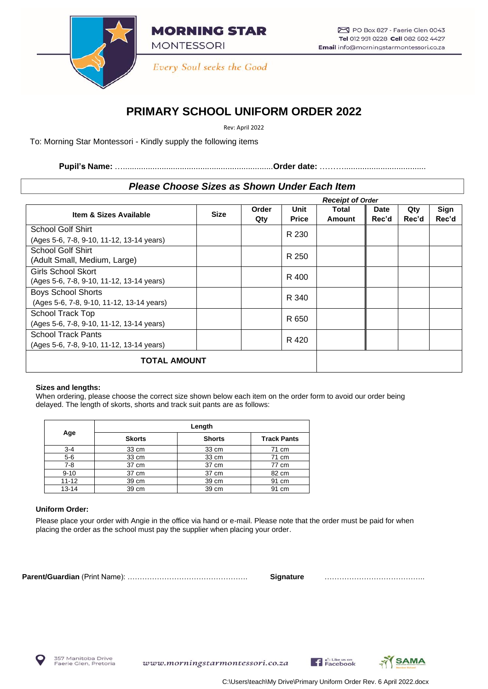

**MORNING STAR MONTESSORI** 

Every Soul seeks the Good

# **PRIMARY SCHOOL UNIFORM ORDER 2022**

Rev: April 2022

To: Morning Star Montessori - Kindly supply the following items

**Pupil's Name:** …..................................................................**Order date:** ………....................................

## *Please Choose Sizes as Shown Under Each Item*

|                                           |             |              |                      | <b>Receipt of Order</b> |                      |              |               |
|-------------------------------------------|-------------|--------------|----------------------|-------------------------|----------------------|--------------|---------------|
| Item & Sizes Available                    | <b>Size</b> | Order<br>Qty | Unit<br><b>Price</b> | Total<br>Amount         | <b>Date</b><br>Rec'd | Qty<br>Rec'd | Sign<br>Rec'd |
| School Golf Shirt                         |             |              | R 230                |                         |                      |              |               |
| (Ages 5-6, 7-8, 9-10, 11-12, 13-14 years) |             |              |                      |                         |                      |              |               |
| School Golf Shirt                         |             |              | R 250                |                         |                      |              |               |
| (Adult Small, Medium, Large)              |             |              |                      |                         |                      |              |               |
| <b>Girls School Skort</b>                 |             |              | R 400                |                         |                      |              |               |
| (Ages 5-6, 7-8, 9-10, 11-12, 13-14 years) |             |              |                      |                         |                      |              |               |
| <b>Boys School Shorts</b>                 |             |              | R 340                |                         |                      |              |               |
| (Ages 5-6, 7-8, 9-10, 11-12, 13-14 years) |             |              |                      |                         |                      |              |               |
| School Track Top                          |             |              | R 650                |                         |                      |              |               |
| (Ages 5-6, 7-8, 9-10, 11-12, 13-14 years) |             |              |                      |                         |                      |              |               |
| <b>School Track Pants</b>                 |             |              | R 420                |                         |                      |              |               |
| (Ages 5-6, 7-8, 9-10, 11-12, 13-14 years) |             |              |                      |                         |                      |              |               |
| <b>TOTAL AMOUNT</b>                       |             |              |                      |                         |                      |              |               |

## **Sizes and lengths:**

When ordering, please choose the correct size shown below each item on the order form to avoid our order being delayed. The length of skorts, shorts and track suit pants are as follows:

| Age       | Length        |               |                    |  |  |  |
|-----------|---------------|---------------|--------------------|--|--|--|
|           | <b>Skorts</b> | <b>Shorts</b> | <b>Track Pants</b> |  |  |  |
| $3 - 4$   | 33 cm         | 33 cm         | 71 cm              |  |  |  |
| $5-6$     | 33 cm         | 33 cm         | 71 cm              |  |  |  |
| $7 - 8$   | 37 cm         | 37 cm         | 77 cm              |  |  |  |
| $9 - 10$  | 37 cm         | 37 cm         | 82 cm              |  |  |  |
| $11 - 12$ | 39 cm         | 39 cm         | 91 cm              |  |  |  |
| $13 - 14$ | 39 cm         | 39 cm         | 91 cm              |  |  |  |

## **Uniform Order:**

Please place your order with Angie in the office via hand or e-mail. Please note that the order must be paid for when placing the order as the school must pay the supplier when placing your order.

**Parent/Guardian** (Print Name): …………………………………………. **Signature** …………………………………..



www.morningstarmontessori.co.za